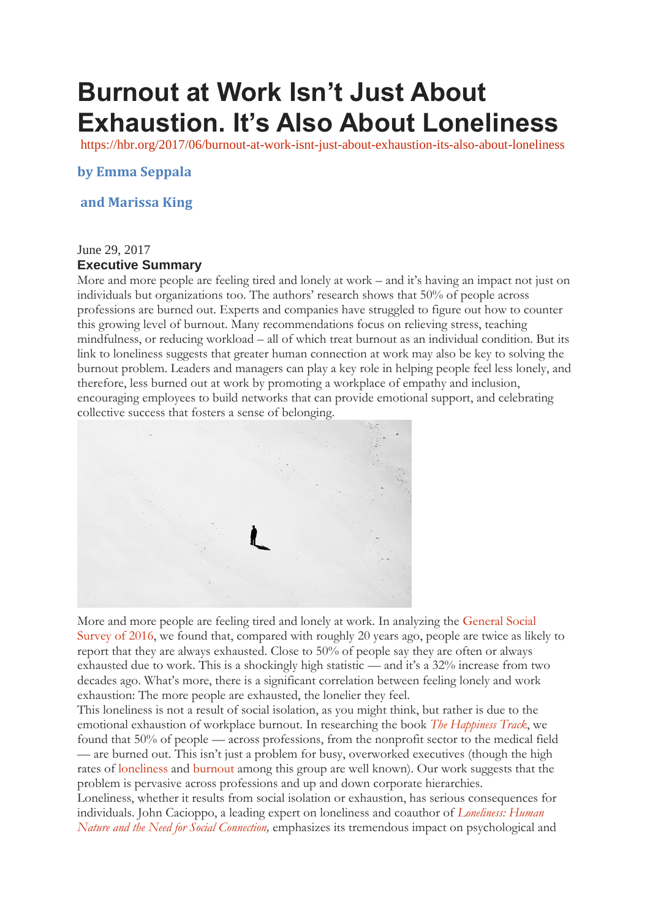## **Burnout at Work Isn't Just About Exhaustion. It's Also About Loneliness**

<https://hbr.org/2017/06/burnout-at-work-isnt-just-about-exhaustion-its-also-about-loneliness>

**by Emma Seppala**

## **and Marissa King**

## June 29, 2017 **Executive Summary**

More and more people are feeling tired and lonely at work – and it's having an impact not just on individuals but organizations too. The authors' research shows that 50% of people across professions are burned out. Experts and companies have struggled to figure out how to counter this growing level of burnout. Many recommendations focus on relieving stress, teaching mindfulness, or reducing workload – all of which treat burnout as an individual condition. But its link to loneliness suggests that greater human connection at work may also be key to solving the burnout problem. Leaders and managers can play a key role in helping people feel less lonely, and therefore, less burned out at work by promoting a workplace of empathy and inclusion, encouraging employees to build networks that can provide emotional support, and celebrating collective success that fosters a sense of belonging.



More and more people are feeling tired and lonely at work. In analyzing the [General Social](http://gss.norc.org/)  [Survey of 2016,](http://gss.norc.org/) we found that, compared with roughly 20 years ago, people are twice as likely to report that they are always exhausted. Close to 50% of people say they are often or always exhausted due to work. This is a shockingly high statistic — and it's a 32% increase from two decades ago. What's more, there is a significant correlation between feeling lonely and work exhaustion: The more people are exhausted, the lonelier they feel.

This loneliness is not a result of social isolation, as you might think, but rather is due to the emotional exhaustion of workplace burnout. In researching the book *[The Happiness Track](http://amzn.to/2rXKgnk)*, we found that 50% of people — across professions, from the nonprofit sector to the medical field — are burned out. This isn't just a problem for busy, overworked executives (though the high rates of [loneliness](https://hbr.org/2012/02/its-time-to-acknowledge-ceo-lo) and [burnout](https://www.wsj.com/articles/SB10001424127887323687604578469124008524696) among this group are well known). Our work suggests that the problem is pervasive across professions and up and down corporate hierarchies.

Loneliness, whether it results from social isolation or exhaustion, has serious consequences for individuals. John Cacioppo, a leading expert on loneliness and coauthor of *[Loneliness: Human](http://amzn.to/2rtEd9a)  [Nature and the Need for Social Connection,](http://amzn.to/2rtEd9a)* emphasizes its tremendous impact on psychological and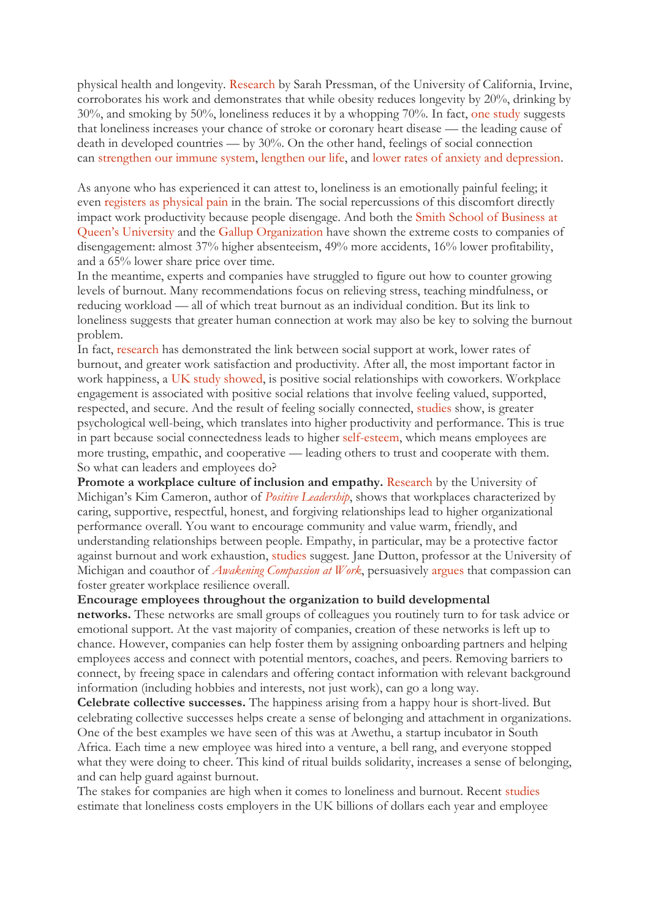physical health and longevity. [Research](http://faculty.sites.uci.edu/pressman/publications/) by Sarah Pressman, of the University of California, Irvine, corroborates his work and demonstrates that while obesity reduces longevity by 20%, drinking by 30%, and smoking by 50%, loneliness reduces it by a whopping 70%. In fact, [one study](http://heart.bmj.com/content/102/13/1009) suggests that loneliness increases your chance of stroke or coronary heart disease — the leading cause of death in developed countries — by 30%. On the other hand, feelings of social connection can [strengthen our immune system,](http://www.psy.cmu.edu/~scohen/Pressman,%20S.,%20Cohen,%20S.,%20Miller,%20G.%20E.,%20Rabin,%20B.%20S.,%20Barker.pdf) [lengthen our life,](http://journals.sagepub.com/doi/abs/10.1111/1467-9280.14461) and [lower rates of anxiety and depression.](http://psycnet.apa.org/index.cfm?fa=buy.optionToBuy&id=2001-07409-008)

As anyone who has experienced it can attest to, loneliness is an emotionally painful feeling; it even [registers as physical pain](https://www.ncbi.nlm.nih.gov/pubmed/14551436) in the brain. The social repercussions of this discomfort directly impact work productivity because people disengage. And both the [Smith School of Business at](https://smith.queensu.ca/magazine/issues/winter-2014)  [Queen's University](https://smith.queensu.ca/magazine/issues/winter-2014) and the [Gallup Organization](http://www.gallup.com/services/178514/state-american-workplace.aspx) have shown the extreme costs to companies of disengagement: almost 37% higher absenteeism, 49% more accidents, 16% lower profitability, and a 65% lower share price over time.

In the meantime, experts and companies have struggled to figure out how to counter growing levels of burnout. Many recommendations focus on relieving stress, teaching mindfulness, or reducing workload — all of which treat burnout as an individual condition. But its link to loneliness suggests that greater human connection at work may also be key to solving the burnout problem.

In fact, [research](http://psycnet.apa.org/index.cfm?fa=buy.optionToBuy&id=2001-05924-006) has demonstrated the link between social support at work, lower rates of burnout, and greater work satisfaction and productivity. After all, the most important factor in work happiness, a [UK study showed,](https://www.aat.org.uk/about-aat/press-releases/britains-workers-value-companionship-recognition-over-big-salary) is positive social relationships with coworkers. Workplace engagement is associated with positive social relations that involve feeling valued, supported, respected, and secure. And the result of feeling socially connected, [studies](http://psycnet.apa.org/index.cfm?fa=buy.optionToBuy&id=2001-07409-008) show, is greater psychological well-being, which translates into higher productivity and performance. This is true in part because social connectedness leads to higher [self-esteem,](https://www.psychologytoday.com/basics/self-esteem) which means employees are more trusting, empathic, and cooperative — leading others to trust and cooperate with them. So what can leaders and employees do?

**Promote a workplace culture of inclusion and empathy.** [Research](https://deepblue.lib.umich.edu/bitstream/handle/2027.42/83259/Cameron,%20Mora,%20&%20Leutscher%20-%20Effects%20of%20Positive%20Practices%20on%20Organizational%20Performance%20-%20Revised%20Submission.pdf?sequence=1) by the University of Michigan's Kim Cameron, author of *[Positive Leadership](http://amzn.to/2rIpckQ)*, shows that workplaces characterized by caring, supportive, respectful, honest, and forgiving relationships lead to higher organizational performance overall. You want to encourage community and value warm, friendly, and understanding relationships between people. Empathy, in particular, may be a protective factor against burnout and work exhaustion, [studies](http://psycnet.apa.org/index.cfm?fa=buy.optionToBuy&uid=2017-09425-001) suggest. Jane Dutton, professor at the University of Michigan and coauthor of *[Awakening Compassion at Work](http://amzn.to/2rtp9IR)*, persuasively [argues](http://scholarship.sha.cornell.edu/articles/749/) that compassion can foster greater workplace resilience overall.

**Encourage employees throughout the organization to build developmental** 

**networks.** These networks are small groups of colleagues you routinely turn to for task advice or emotional support. At the vast majority of companies, creation of these networks is left up to chance. However, companies can help foster them by assigning onboarding partners and helping employees access and connect with potential mentors, coaches, and peers. Removing barriers to connect, by freeing space in calendars and offering contact information with relevant background information (including hobbies and interests, not just work), can go a long way.

**Celebrate collective successes.** The happiness arising from a happy hour is short-lived. But celebrating collective successes helps create a sense of belonging and attachment in organizations. One of the best examples we have seen of this was at Awethu, a startup incubator in South Africa. Each time a new employee was hired into a venture, a bell rang, and everyone stopped what they were doing to cheer. This kind of ritual builds solidarity, increases a sense of belonging, and can help guard against burnout.

The stakes for companies are high when it comes to loneliness and burnout. Recent [studies](https://www.campaigntoendloneliness.org/wp-content/uploads/cost-of-loneliness-2017.pdf) estimate that loneliness costs employers in the UK billions of dollars each year and employee